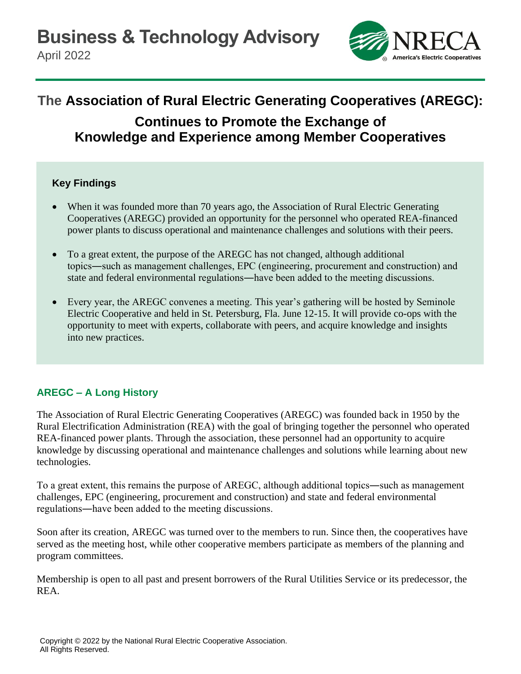**Business & Technology Advisory**

April 2022



# **The Association of Rural Electric Generating Cooperatives (AREGC):**

## **Continues to Promote the Exchange of Knowledge and Experience among Member Cooperatives**

#### **Key Findings**

- When it was founded more than 70 years ago, the Association of Rural Electric Generating Cooperatives (AREGC) provided an opportunity for the personnel who operated REA-financed power plants to discuss operational and maintenance challenges and solutions with their peers.
- To a great extent, the purpose of the AREGC has not changed, although additional topics―such as management challenges, EPC (engineering, procurement and construction) and state and federal environmental regulations―have been added to the meeting discussions.
- Every year, the AREGC convenes a meeting. This year's gathering will be hosted by Seminole Electric Cooperative and held in St. Petersburg, Fla. June 12-15. It will provide co-ops with the opportunity to meet with experts, collaborate with peers, and acquire knowledge and insights into new practices.

### **AREGC – A Long History**

The Association of Rural Electric Generating Cooperatives (AREGC) was founded back in 1950 by the Rural Electrification Administration (REA) with the goal of bringing together the personnel who operated REA-financed power plants. Through the association, these personnel had an opportunity to acquire knowledge by discussing operational and maintenance challenges and solutions while learning about new technologies.

To a great extent, this remains the purpose of AREGC, although additional topics―such as management challenges, EPC (engineering, procurement and construction) and state and federal environmental regulations―have been added to the meeting discussions.

Soon after its creation, AREGC was turned over to the members to run. Since then, the cooperatives have served as the meeting host, while other cooperative members participate as members of the planning and program committees.

Membership is open to all past and present borrowers of the Rural Utilities Service or its predecessor, the REA.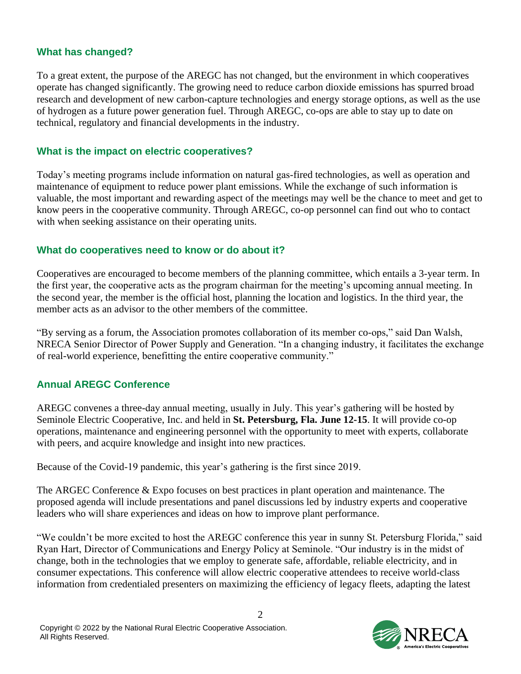#### **What has changed?**

To a great extent, the purpose of the AREGC has not changed, but the environment in which cooperatives operate has changed significantly. The growing need to reduce carbon dioxide emissions has spurred broad research and development of new carbon-capture technologies and energy storage options, as well as the use of hydrogen as a future power generation fuel. Through AREGC, co-ops are able to stay up to date on technical, regulatory and financial developments in the industry.

#### **What is the impact on electric cooperatives?**

Today's meeting programs include information on natural gas-fired technologies, as well as operation and maintenance of equipment to reduce power plant emissions. While the exchange of such information is valuable, the most important and rewarding aspect of the meetings may well be the chance to meet and get to know peers in the cooperative community. Through AREGC, co-op personnel can find out who to contact with when seeking assistance on their operating units.

#### **What do cooperatives need to know or do about it?**

Cooperatives are encouraged to become members of the planning committee, which entails a 3-year term. In the first year, the cooperative acts as the program chairman for the meeting's upcoming annual meeting. In the second year, the member is the official host, planning the location and logistics. In the third year, the member acts as an advisor to the other members of the committee.

"By serving as a forum, the Association promotes collaboration of its member co-ops," said Dan Walsh, NRECA Senior Director of Power Supply and Generation. "In a changing industry, it facilitates the exchange of real-world experience, benefitting the entire cooperative community."

#### **Annual AREGC Conference**

AREGC convenes a three-day annual meeting, usually in July. This year's gathering will be hosted by Seminole Electric Cooperative, Inc. and held in **St. Petersburg, Fla. June 12-15**. It will provide co-op operations, maintenance and engineering personnel with the opportunity to meet with experts, collaborate with peers, and acquire knowledge and insight into new practices.

Because of the Covid-19 pandemic, this year's gathering is the first since 2019.

The ARGEC Conference & Expo focuses on best practices in plant operation and maintenance. The proposed agenda will include presentations and panel discussions led by industry experts and cooperative leaders who will share experiences and ideas on how to improve plant performance.

"We couldn't be more excited to host the AREGC conference this year in sunny St. Petersburg Florida," said Ryan Hart, Director of Communications and Energy Policy at Seminole. "Our industry is in the midst of change, both in the technologies that we employ to generate safe, affordable, reliable electricity, and in consumer expectations. This conference will allow electric cooperative attendees to receive world-class information from credentialed presenters on maximizing the efficiency of legacy fleets, adapting the latest

2